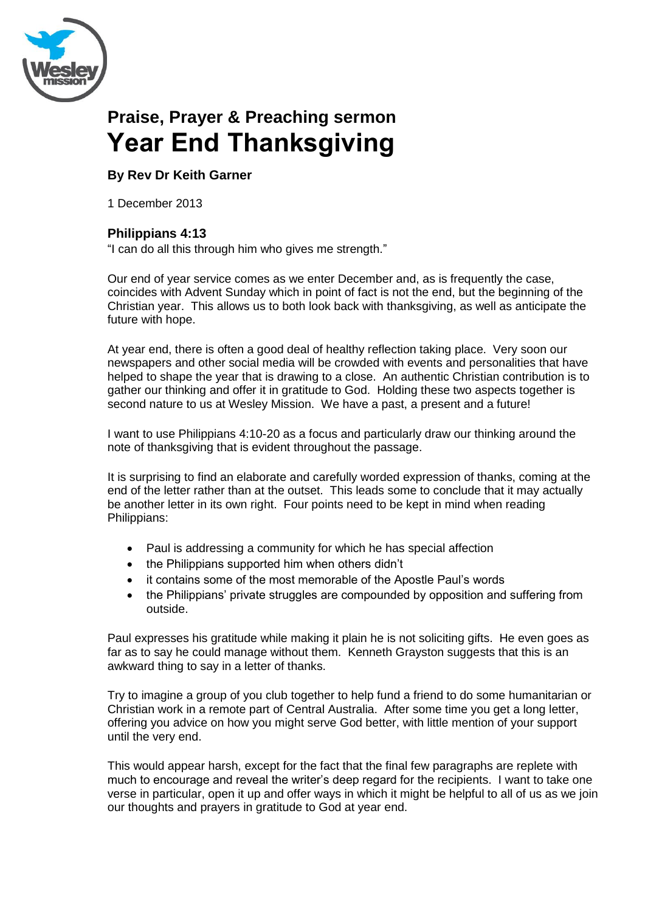

# **Praise, Prayer & Preaching sermon Year End Thanksgiving**

## **By Rev Dr Keith Garner**

1 December 2013

### **Philippians 4:13**

"I can do all this through him who gives me strength."

Our end of year service comes as we enter December and, as is frequently the case, coincides with Advent Sunday which in point of fact is not the end, but the beginning of the Christian year. This allows us to both look back with thanksgiving, as well as anticipate the future with hope.

At year end, there is often a good deal of healthy reflection taking place. Very soon our newspapers and other social media will be crowded with events and personalities that have helped to shape the year that is drawing to a close. An authentic Christian contribution is to gather our thinking and offer it in gratitude to God. Holding these two aspects together is second nature to us at Wesley Mission. We have a past, a present and a future!

I want to use Philippians 4:10-20 as a focus and particularly draw our thinking around the note of thanksgiving that is evident throughout the passage.

It is surprising to find an elaborate and carefully worded expression of thanks, coming at the end of the letter rather than at the outset. This leads some to conclude that it may actually be another letter in its own right. Four points need to be kept in mind when reading Philippians:

- Paul is addressing a community for which he has special affection
- the Philippians supported him when others didn't
- it contains some of the most memorable of the Apostle Paul's words
- the Philippians' private struggles are compounded by opposition and suffering from outside.

Paul expresses his gratitude while making it plain he is not soliciting gifts. He even goes as far as to say he could manage without them. Kenneth Grayston suggests that this is an awkward thing to say in a letter of thanks.

Try to imagine a group of you club together to help fund a friend to do some humanitarian or Christian work in a remote part of Central Australia. After some time you get a long letter, offering you advice on how you might serve God better, with little mention of your support until the very end.

This would appear harsh, except for the fact that the final few paragraphs are replete with much to encourage and reveal the writer's deep regard for the recipients. I want to take one verse in particular, open it up and offer ways in which it might be helpful to all of us as we join our thoughts and prayers in gratitude to God at year end.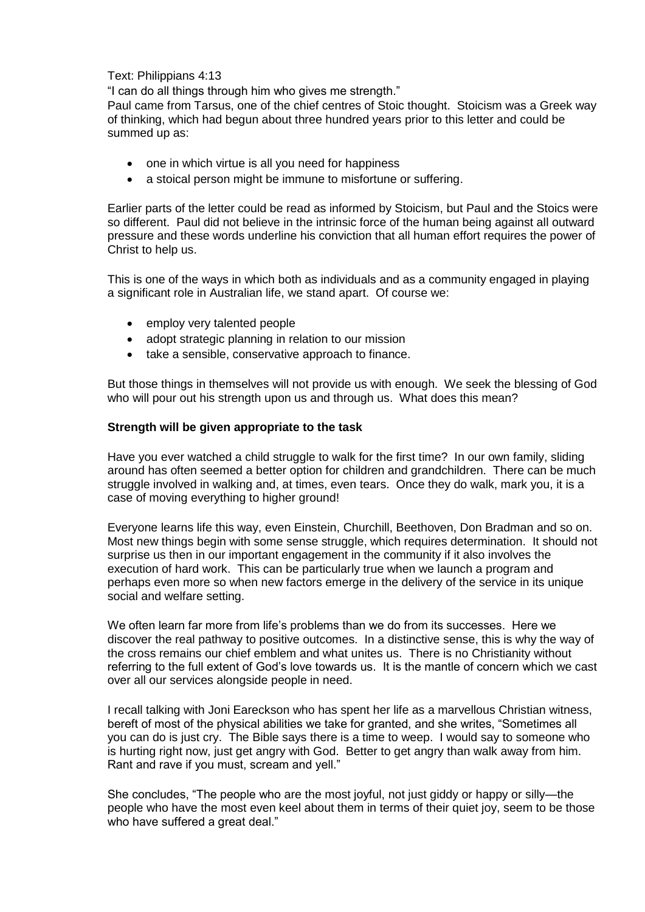#### Text: Philippians 4:13

"I can do all things through him who gives me strength."

Paul came from Tarsus, one of the chief centres of Stoic thought. Stoicism was a Greek way of thinking, which had begun about three hundred years prior to this letter and could be summed up as:

- one in which virtue is all you need for happiness
- a stoical person might be immune to misfortune or suffering.

Earlier parts of the letter could be read as informed by Stoicism, but Paul and the Stoics were so different. Paul did not believe in the intrinsic force of the human being against all outward pressure and these words underline his conviction that all human effort requires the power of Christ to help us.

This is one of the ways in which both as individuals and as a community engaged in playing a significant role in Australian life, we stand apart. Of course we:

- employ very talented people
- adopt strategic planning in relation to our mission
- take a sensible, conservative approach to finance.

But those things in themselves will not provide us with enough. We seek the blessing of God who will pour out his strength upon us and through us. What does this mean?

#### **Strength will be given appropriate to the task**

Have you ever watched a child struggle to walk for the first time? In our own family, sliding around has often seemed a better option for children and grandchildren. There can be much struggle involved in walking and, at times, even tears. Once they do walk, mark you, it is a case of moving everything to higher ground!

Everyone learns life this way, even Einstein, Churchill, Beethoven, Don Bradman and so on. Most new things begin with some sense struggle, which requires determination. It should not surprise us then in our important engagement in the community if it also involves the execution of hard work. This can be particularly true when we launch a program and perhaps even more so when new factors emerge in the delivery of the service in its unique social and welfare setting.

We often learn far more from life"s problems than we do from its successes. Here we discover the real pathway to positive outcomes. In a distinctive sense, this is why the way of the cross remains our chief emblem and what unites us. There is no Christianity without referring to the full extent of God"s love towards us. It is the mantle of concern which we cast over all our services alongside people in need.

I recall talking with Joni Eareckson who has spent her life as a marvellous Christian witness, bereft of most of the physical abilities we take for granted, and she writes, "Sometimes all you can do is just cry. The Bible says there is a time to weep. I would say to someone who is hurting right now, just get angry with God. Better to get angry than walk away from him. Rant and rave if you must, scream and yell."

She concludes, "The people who are the most joyful, not just giddy or happy or silly—the people who have the most even keel about them in terms of their quiet joy, seem to be those who have suffered a great deal."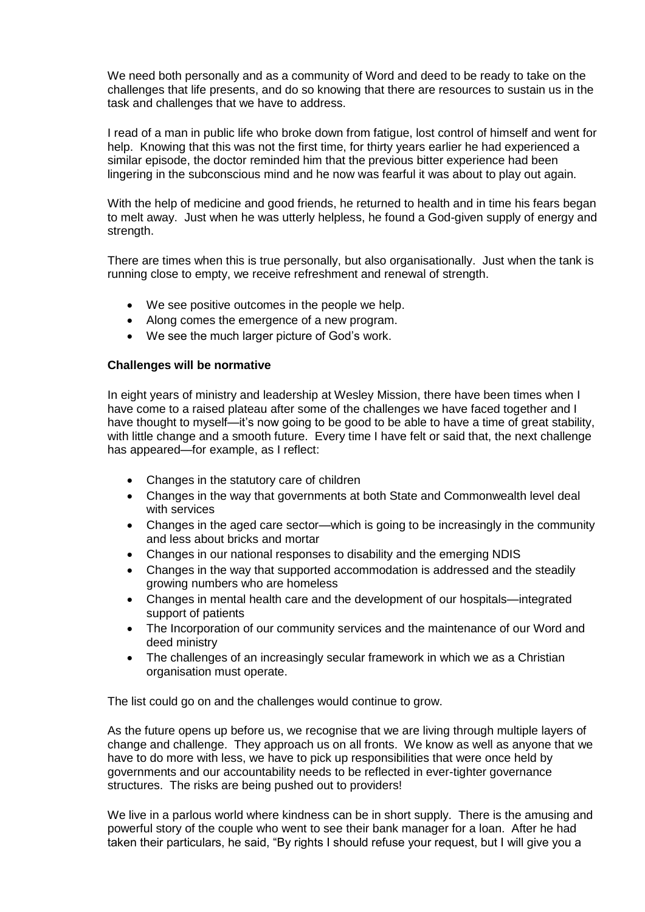We need both personally and as a community of Word and deed to be ready to take on the challenges that life presents, and do so knowing that there are resources to sustain us in the task and challenges that we have to address.

I read of a man in public life who broke down from fatigue, lost control of himself and went for help. Knowing that this was not the first time, for thirty years earlier he had experienced a similar episode, the doctor reminded him that the previous bitter experience had been lingering in the subconscious mind and he now was fearful it was about to play out again.

With the help of medicine and good friends, he returned to health and in time his fears began to melt away. Just when he was utterly helpless, he found a God-given supply of energy and strength.

There are times when this is true personally, but also organisationally. Just when the tank is running close to empty, we receive refreshment and renewal of strength.

- We see positive outcomes in the people we help.
- Along comes the emergence of a new program.
- We see the much larger picture of God"s work.

#### **Challenges will be normative**

In eight years of ministry and leadership at Wesley Mission, there have been times when I have come to a raised plateau after some of the challenges we have faced together and I have thought to myself—it's now going to be good to be able to have a time of great stability, with little change and a smooth future. Every time I have felt or said that, the next challenge has appeared—for example, as I reflect:

- Changes in the statutory care of children
- Changes in the way that governments at both State and Commonwealth level deal with services
- Changes in the aged care sector—which is going to be increasingly in the community and less about bricks and mortar
- Changes in our national responses to disability and the emerging NDIS
- Changes in the way that supported accommodation is addressed and the steadily growing numbers who are homeless
- Changes in mental health care and the development of our hospitals—integrated support of patients
- The Incorporation of our community services and the maintenance of our Word and deed ministry
- The challenges of an increasingly secular framework in which we as a Christian organisation must operate.

The list could go on and the challenges would continue to grow.

As the future opens up before us, we recognise that we are living through multiple layers of change and challenge. They approach us on all fronts. We know as well as anyone that we have to do more with less, we have to pick up responsibilities that were once held by governments and our accountability needs to be reflected in ever-tighter governance structures. The risks are being pushed out to providers!

We live in a parlous world where kindness can be in short supply. There is the amusing and powerful story of the couple who went to see their bank manager for a loan. After he had taken their particulars, he said, "By rights I should refuse your request, but I will give you a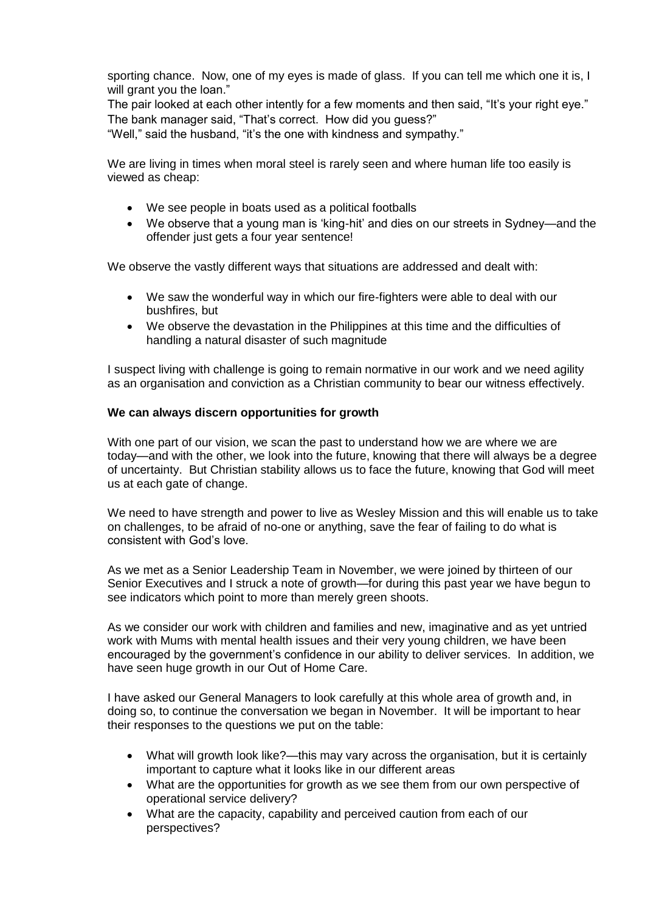sporting chance. Now, one of my eyes is made of glass. If you can tell me which one it is, I will grant you the loan."

The pair looked at each other intently for a few moments and then said, "It's your right eye." The bank manager said, "That"s correct. How did you guess?"

"Well," said the husband, "it"s the one with kindness and sympathy."

We are living in times when moral steel is rarely seen and where human life too easily is viewed as cheap:

- We see people in boats used as a political footballs
- We observe that a young man is "king-hit" and dies on our streets in Sydney—and the offender just gets a four year sentence!

We observe the vastly different ways that situations are addressed and dealt with:

- We saw the wonderful way in which our fire-fighters were able to deal with our bushfires, but
- We observe the devastation in the Philippines at this time and the difficulties of handling a natural disaster of such magnitude

I suspect living with challenge is going to remain normative in our work and we need agility as an organisation and conviction as a Christian community to bear our witness effectively.

#### **We can always discern opportunities for growth**

With one part of our vision, we scan the past to understand how we are where we are today—and with the other, we look into the future, knowing that there will always be a degree of uncertainty. But Christian stability allows us to face the future, knowing that God will meet us at each gate of change.

We need to have strength and power to live as Wesley Mission and this will enable us to take on challenges, to be afraid of no-one or anything, save the fear of failing to do what is consistent with God"s love.

As we met as a Senior Leadership Team in November, we were joined by thirteen of our Senior Executives and I struck a note of growth—for during this past year we have begun to see indicators which point to more than merely green shoots.

As we consider our work with children and families and new, imaginative and as yet untried work with Mums with mental health issues and their very young children, we have been encouraged by the government's confidence in our ability to deliver services. In addition, we have seen huge growth in our Out of Home Care.

I have asked our General Managers to look carefully at this whole area of growth and, in doing so, to continue the conversation we began in November. It will be important to hear their responses to the questions we put on the table:

- What will growth look like?—this may vary across the organisation, but it is certainly important to capture what it looks like in our different areas
- What are the opportunities for growth as we see them from our own perspective of operational service delivery?
- What are the capacity, capability and perceived caution from each of our perspectives?